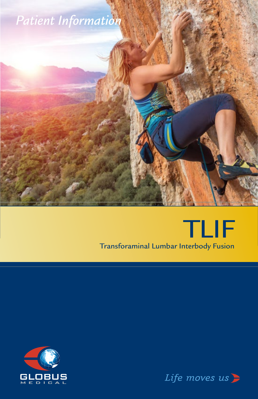

# TLIF Transforaminal Lumbar Interbody Fusion



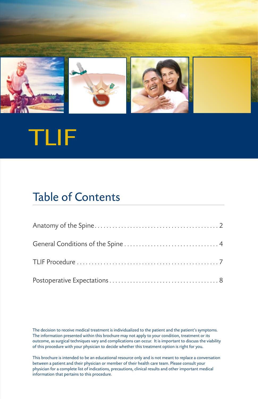

# TLIF

## Table of Contents

The decision to receive medical treatment is individualized to the patient and the patient's symptoms. The information presented within this brochure may not apply to your condition, treatment or its outcome, as surgical techniques vary and complications can occur. It is important to discuss the viability of this procedure with your physician to decide whether this treatment option is right for you.

This brochure is intended to be an educational resource only and is not meant to replace a conversation between a patient and their physician or member of their health care team. Please consult your physician for a complete list of indications, precautions, clinical results and other important medical information that pertains to this procedure.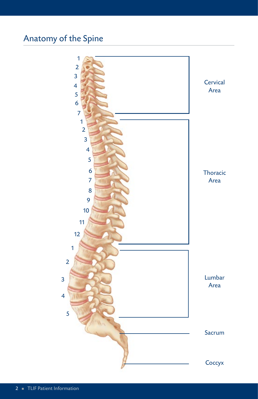### Anatomy of the Spine

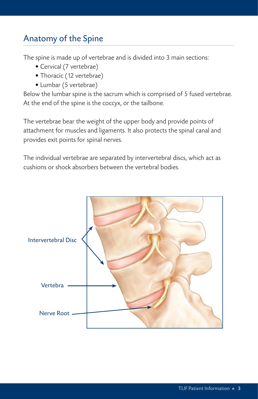#### Anatomy of the Spine

The spine is made up of vertebrae and is divided into 3 main sections:

- Cervical (7 vertebrae)
- Thoracic (12 vertebrae)
- Lumbar (5 vertebrae)

Below the lumbar spine is the sacrum which is comprised of 5 fused vertebrae. At the end of the spine is the coccyx, or the tailbone.

The vertebrae bear the weight of the upper body and provide points of attachment for muscles and ligaments. It also protects the spinal canal and provides exit points for spinal nerves.

The individual vertebrae are separated by intervertebral discs, which act as cushions or shock absorbers between the vertebral bodies.

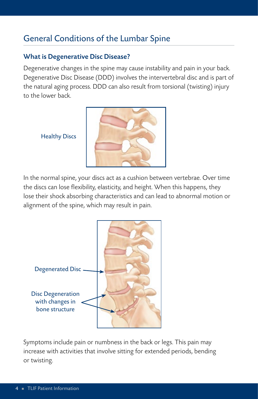#### General Conditions of the Lumbar Spine

#### What is Degenerative Disc Disease?

Degenerative changes in the spine may cause instability and pain in your back. Degenerative Disc Disease (DDD) involves the intervertebral disc and is part of the natural aging process. DDD can also result from torsional (twisting) injury to the lower back.

Healthy Discs



In the normal spine, your discs act as a cushion between vertebrae. Over time the discs can lose flexibility, elasticity, and height. When this happens, they lose their shock absorbing characteristics and can lead to abnormal motion or alignment of the spine, which may result in pain.



Symptoms include pain or numbness in the back or legs. This pain may increase with activities that involve sitting for extended periods, bending or twisting.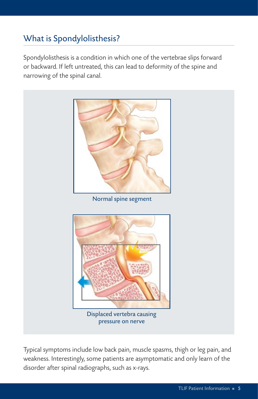#### What is Spondylolisthesis?

Spondylolisthesis is a condition in which one of the vertebrae slips forward or backward. If left untreated, this can lead to deformity of the spine and narrowing of the spinal canal.



Normal spine segment



pressure on nerve

Typical symptoms include low back pain, muscle spasms, thigh or leg pain, and weakness. Interestingly, some patients are asymptomatic and only learn of the disorder after spinal radiographs, such as x-rays.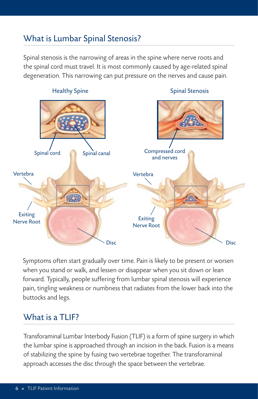#### What is Lumbar Spinal Stenosis?

Spinal stenosis is the narrowing of areas in the spine where nerve roots and the spinal cord must travel. It is most commonly caused by age-related spinal degeneration. This narrowing can put pressure on the nerves and cause pain.



Symptoms often start gradually over time. Pain is likely to be present or worsen when you stand or walk, and lessen or disappear when you sit down or lean forward. Typically, people suffering from lumbar spinal stenosis will experience pain, tingling weakness or numbness that radiates from the lower back into the buttocks and legs.

#### What is a TLIF?

Transforaminal Lumbar Interbody Fusion (TLIF) is a form of spine surgery in which the lumbar spine is approached through an incision in the back. Fusion is a means of stabilizing the spine by fusing two vertebrae together. The transforaminal approach accesses the disc through the space between the vertebrae.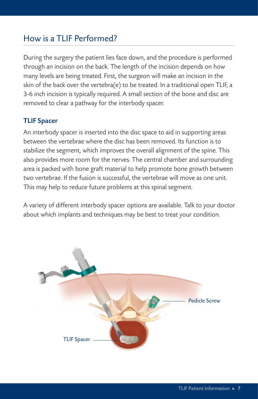#### How is a TLIF Performed?

During the surgery the patient lies face down, and the procedure is performed through an incision on the back. The length of the incision depends on how many levels are being treated. First, the surgeon will make an incision in the skin of the back over the vertebra(e) to be treated. In a traditional open TLIF, a 3-6 inch incision is typically required. A small section of the bone and disc are removed to clear a pathway for the interbody spacer.

#### TLIF Spacer

An interbody spacer is inserted into the disc space to aid in supporting areas between the vertebrae where the disc has been removed. Its function is to stabilize the segment, which improves the overall alignment of the spine. This also provides more room for the nerves. The central chamber and surrounding area is packed with bone graft material to help promote bone growth between two vertebrae. If the fusion is successful, the vertebrae will move as one unit. This may help to reduce future problems at this spinal segment.

A variety of different interbody spacer options are available. Talk to your doctor about which implants and techniques may be best to treat your condition.

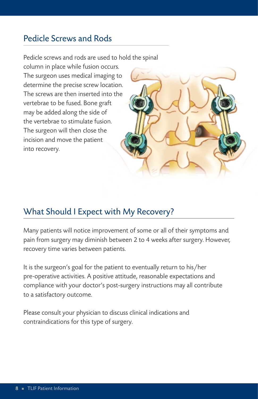#### Pedicle Screws and Rods

Pedicle screws and rods are used to hold the spinal

column in place while fusion occurs. The surgeon uses medical imaging to determine the precise screw location. The screws are then inserted into the vertebrae to be fused. Bone graft may be added along the side of the vertebrae to stimulate fusion. The surgeon will then close the incision and move the patient into recovery.



#### What Should I Expect with My Recovery?

Many patients will notice improvement of some or all of their symptoms and pain from surgery may diminish between 2 to 4 weeks after surgery. However, recovery time varies between patients.

It is the surgeon's goal for the patient to eventually return to his/her pre-operative activities. A positive attitude, reasonable expectations and compliance with your doctor's post-surgery instructions may all contribute to a satisfactory outcome.

Please consult your physician to discuss clinical indications and contraindications for this type of surgery.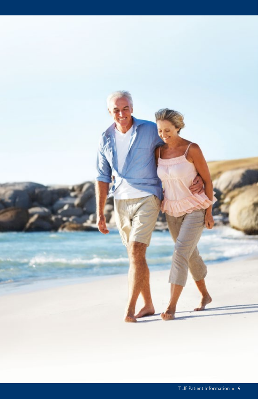